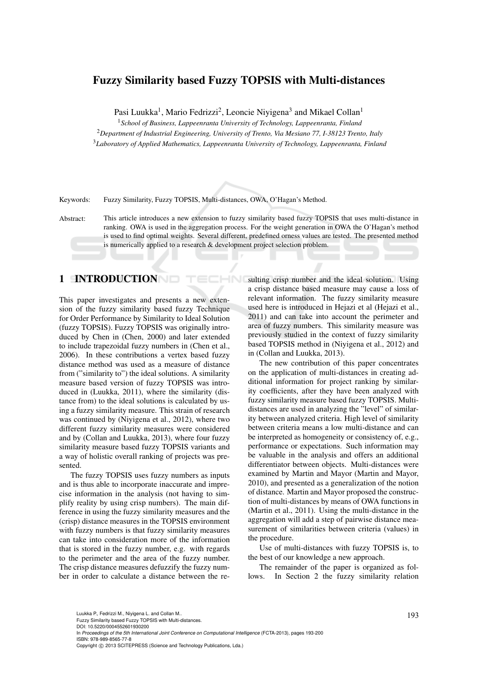# Fuzzy Similarity based Fuzzy TOPSIS with Multi-distances

Pasi Luukka<sup>1</sup>, Mario Fedrizzi<sup>2</sup>, Leoncie Niyigena<sup>3</sup> and Mikael Collan<sup>1</sup>

<sup>1</sup>*School of Business, Lappeenranta University of Technology, Lappeenranta, Finland*

<sup>2</sup>*Department of Industrial Engineering, University of Trento, Via Mesiano 77, I-38123 Trento, Italy*

<sup>3</sup>*Laboratory of Applied Mathematics, Lappeenranta University of Technology, Lappeenranta, Finland*

Keywords: Fuzzy Similarity, Fuzzy TOPSIS, Multi-distances, OWA, O'Hagan's Method.

Abstract: This article introduces a new extension to fuzzy similarity based fuzzy TOPSIS that uses multi-distance in ranking. OWA is used in the aggregation process. For the weight generation in OWA the O'Hagan's method is used to find optimal weights. Several different, predefined orness values are tested. The presented method is numerically applied to a research & development project selection problem.

**INI** 

1 INTRODUCTION

This paper investigates and presents a new extension of the fuzzy similarity based fuzzy Technique for Order Performance by Similarity to Ideal Solution (fuzzy TOPSIS). Fuzzy TOPSIS was originally introduced by Chen in (Chen, 2000) and later extended to include trapezoidal fuzzy numbers in (Chen et al., 2006). In these contributions a vertex based fuzzy distance method was used as a measure of distance from ("similarity to") the ideal solutions. A similarity measure based version of fuzzy TOPSIS was introduced in (Luukka, 2011), where the similarity (distance from) to the ideal solutions is calculated by using a fuzzy similarity measure. This strain of research was continued by (Niyigena et al., 2012), where two different fuzzy similarity measures were considered and by (Collan and Luukka, 2013), where four fuzzy similarity measure based fuzzy TOPSIS variants and a way of holistic overall ranking of projects was presented.

The fuzzy TOPSIS uses fuzzy numbers as inputs and is thus able to incorporate inaccurate and imprecise information in the analysis (not having to simplify reality by using crisp numbers). The main difference in using the fuzzy similarity measures and the (crisp) distance measures in the TOPSIS environment with fuzzy numbers is that fuzzy similarity measures can take into consideration more of the information that is stored in the fuzzy number, e.g. with regards to the perimeter and the area of the fuzzy number. The crisp distance measures defuzzify the fuzzy number in order to calculate a distance between the resulting crisp number and the ideal solution. Using a crisp distance based measure may cause a loss of relevant information. The fuzzy similarity measure used here is introduced in Hejazi et al (Hejazi et al., 2011) and can take into account the perimeter and area of fuzzy numbers. This similarity measure was previously studied in the context of fuzzy similarity based TOPSIS method in (Niyigena et al., 2012) and in (Collan and Luukka, 2013).

The new contribution of this paper concentrates on the application of multi-distances in creating additional information for project ranking by similarity coefficients, after they have been analyzed with fuzzy similarity measure based fuzzy TOPSIS. Multidistances are used in analyzing the "level" of similarity between analyzed criteria. High level of similarity between criteria means a low multi-distance and can be interpreted as homogeneity or consistency of, e.g., performance or expectations. Such information may be valuable in the analysis and offers an additional differentiator between objects. Multi-distances were examined by Martin and Mayor (Martin and Mayor, 2010), and presented as a generalization of the notion of distance. Martin and Mayor proposed the construction of multi-distances by means of OWA functions in (Martin et al., 2011). Using the multi-distance in the aggregation will add a step of pairwise distance measurement of similarities between criteria (values) in the procedure.

Use of multi-distances with fuzzy TOPSIS is, to the best of our knowledge a new approach.

The remainder of the paper is organized as follows. In Section 2 the fuzzy similarity relation

Luukka P., Fedrizzi M., Niyigena L. and Collan M..<br>Fuzzy Similarity based Fuzzy TOPSIS with Multi-distances. DOI: 10.5220/0004552601930200

In *Proceedings of the 5th International Joint Conference on Computational Intelligence* (FCTA-2013), pages 193-200 ISBN: 978-989-8565-77-8

Copyright © 2013 SCITEPRESS (Science and Technology Publications, Lda.)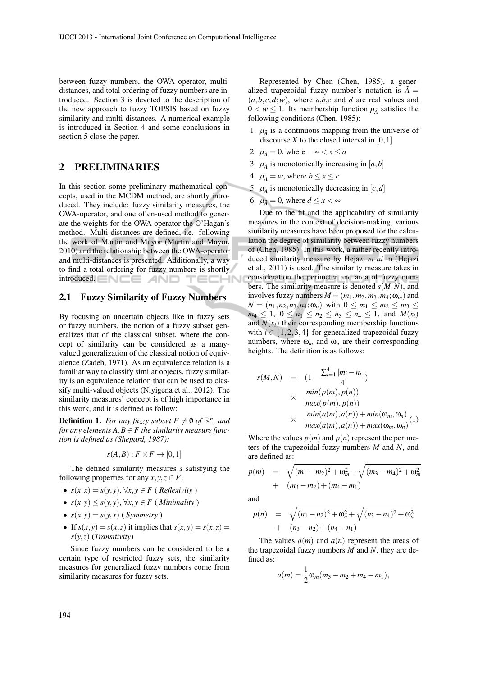between fuzzy numbers, the OWA operator, multidistances, and total ordering of fuzzy numbers are introduced. Section 3 is devoted to the description of the new approach to fuzzy TOPSIS based on fuzzy similarity and multi-distances. A numerical example is introduced in Section 4 and some conclusions in section 5 close the paper.

## 2 PRELIMINARIES

In this section some preliminary mathematical concepts, used in the MCDM method, are shortly introduced. They include: fuzzy similarity measures, the OWA-operator, and one often-used method to generate the weights for the OWA operator the O'Hagan's method. Multi-distances are defined, i.e. following the work of Martin and Mayor (Martin and Mayor, 2010) and the relationship between the OWA-operator and multi-distances is presented. Additionally, a way to find a total ordering for fuzzy numbers is shortly introduced.  $\equiv \bigwedge \equiv \equiv \Box \Box$ 

## 2.1 Fuzzy Similarity of Fuzzy Numbers

By focusing on uncertain objects like in fuzzy sets or fuzzy numbers, the notion of a fuzzy subset generalizes that of the classical subset, where the concept of similarity can be considered as a manyvalued generalization of the classical notion of equivalence (Zadeh, 1971). As an equivalence relation is a familiar way to classify similar objects, fuzzy similarity is an equivalence relation that can be used to classify multi-valued objects (Niyigena et al., 2012). The similarity measures' concept is of high importance in this work, and it is defined as follow:

**Definition 1.** For any fuzzy subset  $F \neq \emptyset$  of  $\mathbb{R}^n$ , and *for any elements*  $A, B \in F$  *the similarity measure function is defined as (Shepard, 1987):*

$$
s(A,B): F \times F \to [0,1]
$$

The defined similarity measures *s* satisfying the following properties for any  $x, y, z \in F$ ,

- $s(x, x) = s(y, y), \forall x, y \in F$  (*Reflexivity*)
- *s*(*x*, *y*) ≤ *s*(*y*, *y*), ∀*x*, *y* ∈ *F* ( *Minimality* )
- $s(x, y) = s(y, x)$  (*Symmetry*)
- If  $s(x, y) = s(x, z)$  it implies that  $s(x, y) = s(x, z)$ *s*(*y*,*z*) (*Transitivity*)

Since fuzzy numbers can be considered to be a certain type of restricted fuzzy sets, the similarity measures for generalized fuzzy numbers come from similarity measures for fuzzy sets.

Represented by Chen (Chen, 1985), a generalized trapezoidal fuzzy number's notation is  $\tilde{A}$  =  $(a, b, c, d; w)$ , where *a*,*b*,*c* and *d* are real values and  $0 < w \leq 1$ . Its membership function  $\mu_{\tilde{A}}$  satisfies the following conditions (Chen, 1985):

- 1.  $\mu_{\tilde{A}}$  is a continuous mapping from the universe of discourse  $X$  to the closed interval in [0,1]
- 2.  $\mu_{\tilde{A}} = 0$ , where  $-\infty < x \le a$
- 3.  $\mu_{\tilde{A}}$  is monotonically increasing in [*a*,*b*]
- 4.  $\mu_{\tilde{A}} = w$ , where  $b \le x \le c$
- 5.  $\mu_{\tilde{A}}$  is monotonically decreasing in  $[c, d]$
- 6.  $\mu_{\tilde{A}} = 0$ , where  $d \leq x < \infty$

Due to the fit and the applicability of similarity measures in the context of decision-making, various similarity measures have been proposed for the calculation the degree of similarity between fuzzy numbers of (Chen, 1985). In this work, a rather recently introduced similarity measure by Hejazi *et al* in (Hejazi et al., 2011) is used. The similarity measure takes in consideration the perimeter and area of fuzzy numbers. The similarity measure is denoted  $s(M,N)$ , and involves fuzzy numbers  $M = (m_1, m_2, m_3, m_4; \omega_m)$  and  $N = (n_1, n_2, n_3, n_4; \omega_n)$  with  $0 \le m_1 \le m_2 \le m_3 \le$  $m_4 \leq 1$ ,  $0 \leq n_1 \leq n_2 \leq n_3 \leq n_4 \leq 1$ , and  $M(x_i)$ and  $N(x_i)$  their corresponding membership functions with  $i \in \{1,2,3,4\}$  for generalized trapezoidal fuzzy numbers, where  $\omega_m$  and  $\omega_n$  are their corresponding heights. The definition is as follows:

$$
s(M,N) = (1 - \frac{\sum_{i=1}^{4} |m_i - n_i|}{4})
$$
  
 
$$
\times \frac{\min(p(m), p(n))}{\max(p(m), p(n))}
$$
  
 
$$
\times \frac{\min(a(m), a(n)) + \min(\omega_m, \omega_n)}{\max(a(m), a(n)) + \max(\omega_m, \omega_n)} (1)
$$

Where the values  $p(m)$  and  $p(n)$  represent the perimeters of the trapezoidal fuzzy numbers *M* and *N*, and are defined as:

$$
p(m) = \sqrt{(m_1 - m_2)^2 + \omega_m^2} + \sqrt{(m_3 - m_4)^2 + \omega_m^2}
$$
  
+  $(m_3 - m_2) + (m_4 - m_1)$ 

and

$$
p(n) = \sqrt{(n_1 - n_2)^2 + \omega_n^2} + \sqrt{(n_3 - n_4)^2 + \omega_n^2} + (n_3 - n_2) + (n_4 - n_1)
$$

The values  $a(m)$  and  $a(n)$  represent the areas of the trapezoidal fuzzy numbers *M* and *N*, they are defined as:

$$
a(m) = \frac{1}{2}\omega_m(m_3 - m_2 + m_4 - m_1),
$$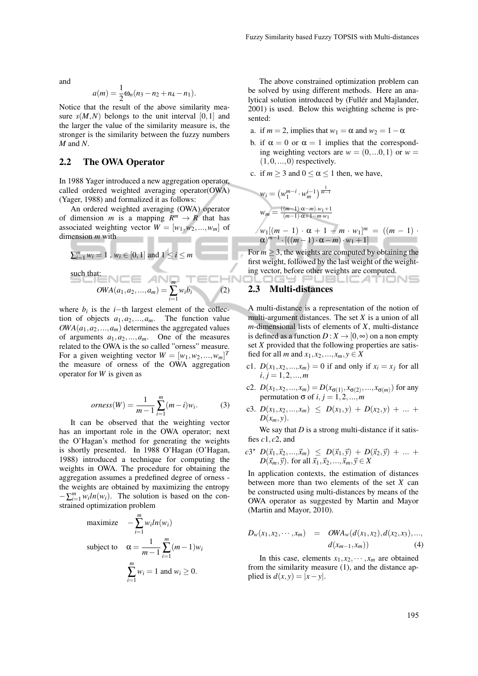and

$$
a(m) = \frac{1}{2}\omega_n(n_3 - n_2 + n_4 - n_1).
$$

Notice that the result of the above similarity measure  $s(M,N)$  belongs to the unit interval [0,1] and the larger the value of the similarity measure is, the stronger is the similarity between the fuzzy numbers *M* and *N*.

#### 2.2 The OWA Operator

In 1988 Yager introduced a new aggregation operator, called ordered weighted averaging operator(OWA) (Yager, 1988) and formalized it as follows:

An ordered weighted averaging (OWA) operator of dimension *m* is a mapping  $R^m \to R$  that has associated weighting vector  $W = [w_1, w_2, ..., w_m]$  of dimension *m* with

$$
\sum_{i=1}^{m} w_i = 1, w_i \in [0, 1] \text{ and } 1 \le i \le m
$$
  
such that:  

$$
OWA(a_1, a_2, ..., a_m) = \sum_{i=1}^{m} w_i b_i
$$
 (2)

where  $b_i$  is the *i*−th largest element of the collection of objects  $a_1, a_2, ..., a_m$ . The function value  $OWA(a_1, a_2, ..., a_m)$  determines the aggregated values of arguments  $a_1, a_2, ..., a_m$ . One of the measures related to the OWA is the so called "orness" measure. For a given weighting vector  $W = [w_1, w_2, ..., w_m]^T$ the measure of orness of the OWA aggregation operator for *W* is given as

*orness*(*W*) = 
$$
\frac{1}{m-1} \sum_{i=1}^{m} (m-i)w_i
$$
. (3)

It can be observed that the weighting vector has an important role in the OWA operator; next the O'Hagan's method for generating the weights is shortly presented. In 1988 O'Hagan (O'Hagan, 1988) introduced a technique for computing the weights in OWA. The procedure for obtaining the aggregation assumes a predefined degree of orness the weights are obtained by maximizing the entropy  $-\sum_{i=1}^{m} w_i ln(w_i)$ . The solution is based on the constrained optimization problem

maximize 
$$
-\sum_{i=1}^{m} w_i ln(w_i)
$$
  
subject to 
$$
\alpha = \frac{1}{m-1} \sum_{i=1}^{m} (m-1) w_i
$$

$$
\sum_{i=1}^{m} w_i = 1 \text{ and } w_i \ge 0.
$$

The above constrained optimization problem can be solved by using different methods. Here an analytical solution introduced by (Fullér and Majlander, 2001) is used. Below this weighting scheme is presented:

- a. if  $m = 2$ , implies that  $w_1 = \alpha$  and  $w_2 = 1 \alpha$
- b. if  $\alpha = 0$  or  $\alpha = 1$  implies that the corresponding weighting vectors are  $w = (0, ...0, 1)$  or  $w =$  $(1,0,\ldots,0)$  respectively.
- c. if  $m > 3$  and  $0 < \alpha < 1$  then, we have,

$$
w_i = (w_1^{m-i} \cdot w_m^{i-1})^{\frac{1}{m-1}}
$$
  
\n
$$
w_m = \frac{((m-1)\cdot \alpha - m) \cdot w_1 + 1}{(m-1)\cdot \alpha + 1 - m \cdot w_1}
$$
  
\n
$$
w_1[(m-1)\cdot \alpha + 1 - m \cdot w_1]^m = ((m-1)\cdot \alpha)^{m-1} \cdot [((m-1)\cdot \alpha - m)\cdot w_1 + 1]
$$

For  $m \geq 3$ , the weights are computed by obtaining the first weight, followed by the last weight of the weighting vector, before other weights are computed.

ILOGY PUBLIC*A*TIONS

#### 2.3 Multi-distances

A multi-distance is a representation of the notion of multi-argument distances. The set *X* is a union of all *m*-dimensional lists of elements of *X*, multi-distance is defined as a function  $D: X \to [0, \infty)$  on a non empty set *X* provided that the following properties are satisfied for all *m* and  $x_1, x_2, ..., x_m, y \in X$ 

- c1.  $D(x_1, x_2, \ldots, x_m) = 0$  if and only if  $x_i = x_j$  for all  $i, j = 1, 2, ..., m$
- c2.  $D(x_1, x_2, ..., x_m) = D(x_{\sigma(1)}, x_{\sigma(2)}, ..., x_{\sigma(m)})$  for any permutation  $\sigma$  of *i*,  $j = 1, 2, \ldots, m$
- c3.  $D(x_1, x_2,...,x_m) \leq D(x_1, y) + D(x_2, y) + ...$  $D(x_m, y)$ .

We say that *D* is a strong multi-distance if it satisfies  $c1, c2$ , and

$$
c3^{\star} D(\vec{x}_1, \vec{x}_2, ..., \vec{x}_m) \leq D(\vec{x}_1, \vec{y}) + D(\vec{x}_2, \vec{y}) + ... + D(\vec{x}_m, \vec{y}).
$$
 for all  $\vec{x}_1, \vec{x}_2, ..., \vec{x}_m, \vec{y} \in X$ 

In application contexts, the estimation of distances between more than two elements of the set *X* can be constructed using multi-distances by means of the OWA operator as suggested by Martin and Mayor (Martin and Mayor, 2010).

$$
D_{w}(x_{1}, x_{2}, \cdots, x_{m}) = OWA_{w}(d(x_{1}, x_{2}), d(x_{2}, x_{3}), \ldots, d(x_{m-1}, x_{m})) \qquad (4)
$$

In this case, elements  $x_1, x_2, \dots, x_m$  are obtained from the similarity measure (1), and the distance applied is  $d(x, y) = |x - y|$ .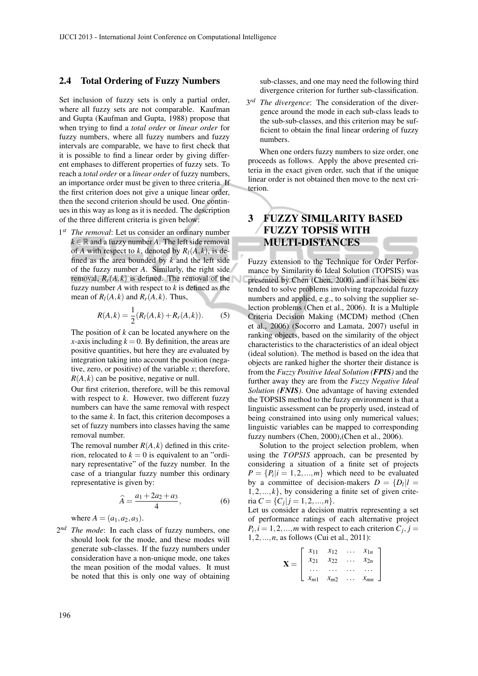#### 2.4 Total Ordering of Fuzzy Numbers

Set inclusion of fuzzy sets is only a partial order, where all fuzzy sets are not comparable. Kaufman and Gupta (Kaufman and Gupta, 1988) propose that when trying to find a *total order* or *linear order* for fuzzy numbers, where all fuzzy numbers and fuzzy intervals are comparable, we have to first check that it is possible to find a linear order by giving different emphases to different properties of fuzzy sets. To reach a *total order* or a *linear order* of fuzzy numbers, an importance order must be given to three criteria. If the first criterion does not give a unique linear order, then the second criterion should be used. One continues in this way as long as it is needed. The description of the three different criteria is given below:

 $1^{st}$ The removal: Let us consider an ordinary number  $k \in \mathbb{R}$  and a fuzzy number *A*. The left side removal of *A* with respect to *k*, denoted by  $R_l(A, k)$ , is defined as the area bounded by *k* and the left side of the fuzzy number *A*. Similarly, the right side removal,  $R_r(A, k)$  is defined. The removal of the fuzzy number *A* with respect to *k* is defined as the mean of  $R_l(A, k)$  and  $R_r(A, k)$ . Thus,

$$
R(A,k) = \frac{1}{2}(R_I(A,k) + R_r(A,k)).
$$
 (5)

The position of *k* can be located anywhere on the *x*-axis including  $k = 0$ . By definition, the areas are positive quantities, but here they are evaluated by integration taking into account the position (negative, zero, or positive) of the variable *x*; therefore,  $R(A, k)$  can be positive, negative or null.

Our first criterion, therefore, will be this removal with respect to *k*. However, two different fuzzy numbers can have the same removal with respect to the same *k*. In fact, this criterion decomposes a set of fuzzy numbers into classes having the same removal number.

The removal number  $R(A, k)$  defined in this criterion, relocated to  $k = 0$  is equivalent to an "ordinary representative" of the fuzzy number. In the case of a triangular fuzzy number this ordinary representative is given by:

$$
\widehat{A} = \frac{a_1 + 2a_2 + a_3}{4},\tag{6}
$$

where  $A = (a_1, a_2, a_3)$ .

2 *nd The mode*: In each class of fuzzy numbers, one should look for the mode, and these modes will generate sub-classes. If the fuzzy numbers under consideration have a non-unique mode, one takes the mean position of the modal values. It must be noted that this is only one way of obtaining sub-classes, and one may need the following third divergence criterion for further sub-classification.

3 *rd The divergence*: The consideration of the divergence around the mode in each sub-class leads to the sub-sub-classes, and this criterion may be sufficient to obtain the final linear ordering of fuzzy numbers.

When one orders fuzzy numbers to size order, one proceeds as follows. Apply the above presented criteria in the exact given order, such that if the unique linear order is not obtained then move to the next criterion.

# 3 FUZZY SIMILARITY BASED FUZZY TOPSIS WITH MULTI-DISTANCES

Fuzzy extension to the Technique for Order Performance by Similarity to Ideal Solution (TOPSIS) was presented by Chen (Chen, 2000) and it has been extended to solve problems involving trapezoidal fuzzy numbers and applied, e.g., to solving the supplier selection problems (Chen et al., 2006). It is a Multiple Criteria Decision Making (MCDM) method (Chen et al., 2006) (Socorro and Lamata, 2007) useful in ranking objects, based on the similarity of the object characteristics to the characteristics of an ideal object (ideal solution). The method is based on the idea that objects are ranked higher the shorter their distance is from the *Fuzzy Positive Ideal Solution (FPIS)* and the further away they are from the *Fuzzy Negative Ideal Solution (FNIS)*. One advantage of having extended the TOPSIS method to the fuzzy environment is that a linguistic assessment can be properly used, instead of being constrained into using only numerical values; linguistic variables can be mapped to corresponding fuzzy numbers (Chen, 2000),(Chen et al., 2006).

Solution to the project selection problem, when using the *TOPSIS* approach, can be presented by considering a situation of a finite set of projects  $P = \{P_i | i = 1, 2, ..., m\}$  which need to be evaluated by a committee of decision-makers  $D = \{D_l | l = \}$  $1, 2, \ldots, k$ , by considering a finite set of given criteria  $C = \{C_j | j = 1, 2, ..., n\}.$ 

Let us consider a decision matrix representing a set of performance ratings of each alternative project  $P_i$ ,  $i = 1, 2, \dots, m$  with respect to each criterion  $C_j$ ,  $j =$ 1,2,...,*n*, as follows (Cui et al., 2011):

$$
\mathbf{X} = \left[ \begin{array}{cccc} x_{11} & x_{12} & \dots & x_{1n} \\ x_{21} & x_{22} & \dots & x_{2n} \\ \dots & \dots & \dots & \dots \\ x_{m1} & x_{m2} & \dots & x_{mn} \end{array} \right]
$$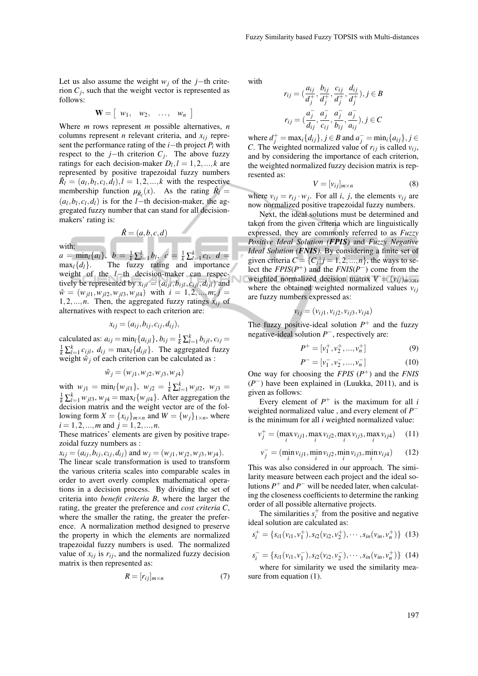Let us also assume the weight  $w_j$  of the *j*−th criterion  $C_j$ , such that the weight vector is represented as follows:

$$
\mathbf{W} = \left[ \begin{array}{ccc} w_1, & w_2, & \ldots, & w_n \end{array} \right]
$$

Where *m* rows represent *m* possible alternatives, *n* columns represent *n* relevant criteria, and  $x_{ij}$  represent the performance rating of the *i*−th project *P<sup>i</sup>* with respect to the *j*−th criterion  $C_j$ . The above fuzzy ratings for each decision-maker  $D_l$ ,  $l = 1, 2, ..., k$  are represented by positive trapezoidal fuzzy numbers  $\hat{R}_l = (a_l, b_l, c_l, d_l), l = 1, 2, \dots, k$  with the respective membership function  $\mu_{\hat{R}_l}(x)$ . As the rating  $\hat{R}_l =$  $(a_l, b_l, c_l, d_l)$  is for the *l*−th decision-maker, the aggregated fuzzy number that can stand for all decisionmakers' rating is:

$$
\hat{R} = (a, b, c, d)
$$

with:

 $a = \min_{l} \{a_{l}\}, b = \frac{1}{k} \sum_{l=1}^{k} b_{l}, c = \frac{1}{k} \sum_{l=1}^{k} c_{l}, d =$  $\max_l \{d_l\}.$  The fuzzy rating and importance weight of the *l*−th decision-maker can respectively be represented by  $x_{ijl} = (a_{ijl}, b_{ijl}, c_{ijl}, d_{ijl})$  and  $\hat{w} = (w_{j11}, w_{j12}, w_{j13}, w_{j14})$  with  $i = 1, 2, ..., m; j =$ 1,2,...,*n*. Then, the aggregated fuzzy ratings  $x_{ij}$  of alternatives with respect to each criterion are:

$$
x_{ij}=(a_{ij},b_{ij},c_{ij},d_{ij}),
$$

calculated as:  $a_{ij} = \min_l \{a_{ijl}\}, b_{ij} = \frac{1}{k} \sum_{l=1}^k b_{ijl}, c_{ij} =$  $\frac{1}{k} \sum_{l=1}^{k} c_{ijl}$ ,  $d_{ij} = \max_{l} \{d_{ijl}\}$ . The aggregated fuzzy weight  $\hat{w}_j$  of each criterion can be calculated as :

$$
\hat{w}_j = (w_{j1}, w_{j2}, w_{j3}, w_{j4})
$$

with  $w_{j1} = \min_l \{w_{jl1}\}, w_{j2} = \frac{1}{k} \sum_{l=1}^k w_{jl2}, w_{j3} =$  $\frac{1}{k} \sum_{l=1}^{k} w_{jl3}, w_{j4} = \max_{l} \{w_{jl4}\}.$  After aggregation the decision matrix and the weight vector are of the following form  $X = \{x_{ij}\}_{m \times n}$  and  $W = \{w_j\}_{1 \times n}$ , where  $i = 1, 2, ..., m$  and  $j = 1, 2, ..., n$ .

These matrices' elements are given by positive trapezoidal fuzzy numbers as :

$$
x_{ij} = (a_{ij}, b_{ij}, c_{ij}, d_{ij})
$$
 and  $w_j = (w_{j1}, w_{j2}, w_{j3}, w_{j4})$ .  
The linear scale transformation is used to transform  
the various criteria scales into comparable scales in  
order to avert overly complex mathematical opera-  
tions in a decision process. By dividing the set of  
criterion into *benefit criteria B*, where the larger the  
rating, the greater the preference and *cost criteria C*,  
where the smaller the rating, the greater the prefer-  
ence. A normalization method designed to preserve  
the property in which the elements are normalized  
trapezoidal fuzzy numbers is used. The normalized  
value of  $x_{ij}$  is  $r_{ij}$ , and the normalized fuzzy decision  
matrix is then represented as:

$$
R = [r_{ij}]_{m \times n} \tag{7}
$$

with

$$
r_{ij} = \left(\frac{a_{ij}}{d_j^+}, \frac{b_{ij}}{d_j^+}, \frac{c_{ij}}{d_j^+}, \frac{d_{ij}}{d_j^+}\right), j \in B
$$
  

$$
r_{ij} = \left(\frac{a_j^-}{d_{ij}}, \frac{a_j^-}{c_{ij}}, \frac{a_j^-}{b_{ij}}, \frac{a_j^-}{a_{ij}}\right), j \in C
$$

 $\text{where } d_j^+ = \max_i \{d_{ij}\}, j \in B \text{ and } a_j^- = \min_i \{a_{ij}\}, j \in B$ *C*. The weighted normalized value of  $r_{ij}$  is called  $v_{ij}$ , and by considering the importance of each criterion, the weighted normalized fuzzy decision matrix is represented as:

$$
V = [v_{ij}]_{m \times n} \tag{8}
$$

where  $v_{ij} = r_{ij} \cdot w_j$ . For all *i*, *j*, the elements  $v_{ij}$  are now normalized positive trapezoidal fuzzy numbers.

Next, the ideal solutions must be determined and taken from the given criteria which are linguistically expressed, they are commonly referred to as *Fuzzy Positive Ideal Solution (FPIS)* and *Fuzzy Negative Ideal Solution (FNIS)*. By considering a finite set of given criteria  $C = \{C_j | j = 1, 2, ..., n\}$ , the ways to select the  $FPIS(P^+)$  and the  $FNIS(P^-)$  come from the weighted normalized decision matrix  $V = (v_{ij})_{m \times n}$ , where the obtained weighted normalized values  $v_{ij}$ are fuzzy numbers expressed as:

$$
v_{ij} = (v_{ij1}, v_{ij2}, v_{ij3}, v_{ij4})
$$

The fuzzy positive-ideal solution  $P^+$  and the fuzzy negative-ideal solution *P* <sup>−</sup>, respectively are:

$$
P^{+} = [v_1^{+}, v_2^{+}, ..., v_n^{+}]
$$
 (9)

$$
P^- = [\nu_1^-, \nu_2^-, ..., \nu_n^-]
$$
 (10)

One way for choosing the  $FPIS$   $(P^+)$  and the  $FNIS$  $(P^-)$  have been explained in (Luukka, 2011), and is given as follows:

Every element of  $P^+$  is the maximum for all *i* weighted normalized value , and every element of *P* − is the minimum for all *i* weighted normalized value:

$$
v_j^+ = (\max_i v_{ij1}, \max_i v_{ij2}, \max_i v_{ij3}, \max_i v_{ij4}) \quad (11)
$$

$$
v_j^- = (\min_i v_{ij1}, \min_i v_{ij2}, \min_i v_{ij3}, \min_i v_{ij4}) \qquad (12)
$$

This was also considered in our approach. The similarity measure between each project and the ideal solutions  $P^+$  and  $P^-$  will be needed later, when calculating the closeness coefficients to determine the ranking order of all possible alternative projects.

The similarities  $s_i^+$  from the positive and negative ideal solution are calculated as:

$$
s_i^+ = \{s_{i1}(v_{i1}, v_1^+), s_{i2}(v_{i2}, v_2^+), \cdots, s_{in}(v_{in}, v_n^+)\}\ (13)
$$

$$
s_i^- = \{s_{i1}(v_{i1}, v_1^-), s_{i2}(v_{i2}, v_2^-), \cdots, s_{in}(v_{in}, v_n^+)\}\ (14)
$$

where for similarity we used the similarity measure from equation (1).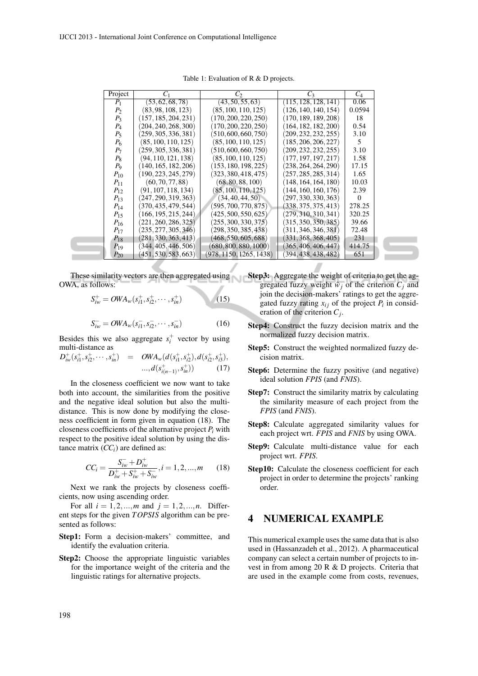| Project  | $C_1$                | $C_2$                   | $C_3$                | $C_4$    |
|----------|----------------------|-------------------------|----------------------|----------|
| $P_1$    | (53, 62, 68, 78)     | (43, 50, 55, 63)        | (115, 128, 128, 141) | 0.06     |
| $P_{2}$  | (83, 98, 108, 123)   | (85, 100, 110, 125)     | (126, 140, 140, 154) | 0.0594   |
| $P_3$    | (157, 185, 204, 231) | (170, 200, 220, 250)    | (170, 189, 189, 208) | 18       |
| $P_4$    | (204, 240, 268, 300) | (170, 200, 220, 250)    | (164, 182, 182, 200) | 0.54     |
| $P_5$    | (259, 305, 336, 381) | (510, 600, 660, 750)    | (209, 232, 232, 255) | 3.10     |
| $P_6$    | (85, 100, 110, 125)  | (85, 100, 110, 125)     | (185, 206, 206, 227) | 5        |
| $P_7$    | (259, 305, 336, 381) | (510, 600, 660, 750)    | (209, 232, 232, 255) | 3.10     |
| $P_8$    | (94, 110, 121, 138)  | (85, 100, 110, 125)     | (177, 197, 197, 217) | 1.58     |
| $P_{9}$  | (140, 165, 182, 206) | (153, 180, 198, 225)    | (238, 264, 264, 290) | 17.15    |
| $P_{10}$ | (190, 223, 245, 279) | (323, 380, 418, 475)    | (257, 285, 285, 314) | 1.65     |
| $P_{11}$ | (60, 70, 77, 88)     | (68, 80, 88, 100)       | (148, 164, 164, 180) | 10.03    |
| $P_{12}$ | (91, 107, 118, 134)  | (85, 100, 110, 125)     | 144, 160, 160, 176   | 2.39     |
| $P_{13}$ | (247, 290, 319, 363) | (34, 40, 44, 50)        | (297, 330, 330, 363) | $\Omega$ |
| $P_{14}$ | (370, 435, 479, 544) | (595, 700, 770, 875)    | (338, 375, 375, 413) | 278.25   |
| $P_{15}$ | (166, 195, 215, 244) | (425, 500, 550, 625)    | (279, 310, 310, 341) | 320.25   |
| $P_{16}$ | (221, 260, 286, 325) | (255, 300, 330, 375)    | (315, 350, 350, 385) | 39.66    |
| $P_{17}$ | (235, 277, 305, 346) | (298, 350, 385, 438)    | (311, 346, 346, 381) | 72.48    |
| $P_{18}$ | (281, 330, 363, 413) | (468, 550, 605, 688)    | (331, 368, 368, 405) | 231      |
| $P_{19}$ | (344, 405, 446, 506) | (680, 800, 880, 1000)   | (365, 406, 406, 447) | 414.75   |
| $P_{20}$ | (451, 530, 583, 663) | (978, 1150, 1265, 1438) | (394, 438, 438, 482) | 651      |

Table 1: Evaluation of R & D projects.

These similarity vectors are then aggregated using OWA, as follows:

$$
S_{iw}^+ = OWA_w(s_{i1}^+, s_{i2}^+, \cdots, s_{in}^+) \tag{15}
$$

$$
S_{iw}^- = OWA_w(s_{i1}^-, s_{i2}^-, \cdots, s_{in}^-)
$$
 (16)

Besides this we also aggregate  $s_i^+$  vector by using multi-distance as

$$
D_{iw}^{+}(s_{i1}^{+}, s_{i2}^{+}, \cdots, s_{in}^{+}) = OWA_{w}(d(s_{i1}^{+}, s_{i2}^{+}), d(s_{i2}^{+}, s_{i3}^{+}), \ldots, d(s_{i(n-1)}^{+}, s_{in}^{+}))
$$
(17)

In the closeness coefficient we now want to take both into account, the similarities from the positive and the negative ideal solution but also the multidistance. This is now done by modifying the closeness coefficient in form given in equation (18). The closeness coefficients of the alternative project  $P_i$  with respect to the positive ideal solution by using the distance matrix  $(CC<sub>i</sub>)$  are defined as:

$$
CC_{i} = \frac{S_{iw}^{-} + D_{iw}^{+}}{D_{iw}^{+} + S_{iw}^{+} + S_{iw}^{-}}, i = 1, 2, ..., m \qquad (18)
$$

Next we rank the projects by closeness coefficients, now using ascending order.

For all  $i = 1, 2, ..., m$  and  $j = 1, 2, ..., n$ . Different steps for the given *TOPSIS* algorithm can be presented as follows:

Step1: Form a decision-makers' committee, and identify the evaluation criteria.

Step2: Choose the appropriate linguistic variables for the importance weight of the criteria and the linguistic ratings for alternative projects.

- Step3: Aggregate the weight of criteria to get the aggregated fuzzy weight  $\hat{w}_i$  of the criterion  $C_i$  and join the decision-makers' ratings to get the aggregated fuzzy rating  $x_{ij}$  of the project  $P_i$  in consideration of the criterion *C<sup>j</sup>* .
- Step4: Construct the fuzzy decision matrix and the normalized fuzzy decision matrix.
- Step5: Construct the weighted normalized fuzzy decision matrix.
- Step6: Determine the fuzzy positive (and negative) ideal solution *FPIS* (and *FNIS*).
- Step7: Construct the similarity matrix by calculating the similarity measure of each project from the *FPIS* (and *FNIS*).
- Step8: Calculate aggregated similarity values for each project wrt. *FPIS* and *FNIS* by using OWA.
- Step9: Calculate multi-distance value for each project wrt. *FPIS*.
- Step10: Calculate the closeness coefficient for each project in order to determine the projects' ranking order.

## 4 NUMERICAL EXAMPLE

This numerical example uses the same data that is also used in (Hassanzadeh et al., 2012). A pharmaceutical company can select a certain number of projects to invest in from among 20 R & D projects. Criteria that are used in the example come from costs, revenues,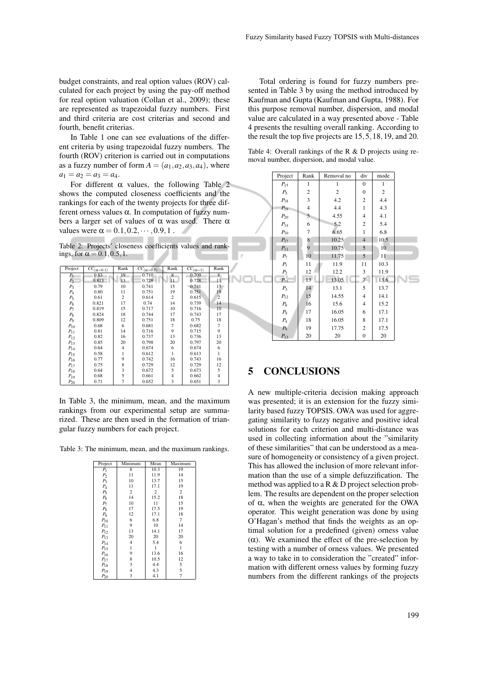budget constraints, and real option values (ROV) calculated for each project by using the pay-off method for real option valuation (Collan et al., 2009); these are represented as trapezoidal fuzzy numbers. First and third criteria are cost criterias and second and fourth, benefit criterias.

In Table 1 one can see evaluations of the different criteria by using trapezoidal fuzzy numbers. The fourth (ROV) criterion is carried out in computations as a fuzzy number of form  $A = (a_1, a_2, a_3, a_4)$ , where  $a_1 = a_2 = a_3 = a_4.$ 

For different  $\alpha$  values, the following Table 2 shows the computed closeness coefficients and the rankings for each of the twenty projects for three different orness values  $\alpha$ . In computation of fuzzy numbers a larger set of values of  $\alpha$  was used. There  $\alpha$ values were  $\alpha = 0.1, 0.2, \dots, 0.9, 1$ .

Table 2: Projects' closeness coefficients values and rankings, for  $\alpha = 0.1, 0.5, 1$ .

| Project  | $\overline{CC_{(\alpha=0.1)}}$ | Rank           | $\overline{CC_{(\alpha=0.5)}}$ | Rank | $\overline{CC_{(\alpha=1)}}$ | Rank           |
|----------|--------------------------------|----------------|--------------------------------|------|------------------------------|----------------|
| $P_{1}$  | 0.83                           | 19             | 0.710                          | 8    | 0.709                        | 8              |
| $P_2$    | 0.813                          | 13             | 0.728                          | 11   | 0.728                        | 11             |
| $P_3$    | 0.79                           | 10             | 0.741                          | 15   | 0.741                        | 15             |
| $P_4$    | 0.80                           | 11             | 0.751                          | 19   | 0.751                        | 19             |
| $P_5$    | 0.61                           | 2              | 0.614                          | 2    | 0.615                        | $\overline{2}$ |
| $P_6$    | 0.821                          | 17             | 0.74                           | 14   | 0.739                        | 14             |
| $P_7$    | 0.819                          | 15             | 0.717                          | 10   | 0.716                        | 10             |
| $P_8$    | 0.824                          | 18             | 0.744                          | 17   | 0.743                        | 17             |
| $P_{9}$  | 0.809                          | 12             | 0.751                          | 18   | 0.75                         | 18             |
| $P_{10}$ | 0.68                           | 6              | 0.681                          | 7    | 0.682                        | 7              |
| $P_{11}$ | 0.81                           | 14             | 0.716                          | 9    | 0.715                        | 9              |
| $P_{12}$ | 0.82                           | 16             | 0.737                          | 13   | 0.736                        | 13             |
| $P_{13}$ | 0.85                           | 20             | 0.798                          | 20   | 0.797                        | 20             |
| $P_{14}$ | 0.64                           | 4              | 0.674                          | 6    | 0.674                        | 6              |
| $P_{15}$ | 0.58                           |                | 0.612                          | 1    | 0.613                        | $\mathbf{1}$   |
| $P_{16}$ | 0.77                           | 9              | 0.742                          | 16   | 0.743                        | 16             |
| $P_{17}$ | 0.75                           | 8              | 0.729                          | 12   | 0.729                        | 12             |
| $P_{18}$ | 0.64                           | 3              | 0.672                          | 5    | 0.673                        | 5              |
| $P_{19}$ | 0.68                           | 5              | 0.661                          | 4    | 0.662                        | 4              |
| $P_{20}$ | 0.71                           | $\overline{7}$ | 0.652                          | 3    | 0.651                        | 3              |

In Table 3, the minimum, mean, and the maximum rankings from our experimental setup are summarized. These are then used in the formation of triangular fuzzy numbers for each project.

Table 3: The minimum, mean, and the maximum rankings.

| Project            | Minimum        | Mean | Maximum        |
|--------------------|----------------|------|----------------|
| $P_1$              | 8              | 10.3 | 19             |
| P <sub>2</sub>     | 11             | 11.9 | 14             |
| $P_3$              | 10             | 13.7 | 15             |
| $P_4$              | 11             | 17.1 | 19             |
| $P_5$              | 2              | 2    | 2              |
| $P_6$              | 14             | 15.2 | 18             |
| $P_7$              | 10             | 11   | 15             |
| $P_{8}$            | 17             | 17.5 | 19             |
| P <sub>Q</sub>     | 12             | 17.1 | 18             |
| $P_{10}$           | 6              | 6.8  | $\overline{7}$ |
| $P_{11}$           | 9              | 10   | 14             |
| $\mathcal{P}_{12}$ | 13             | 14.1 | 17             |
| $P_{13}$           | 20             | 20   | 20             |
| $P_{14}$           | $\overline{4}$ | 5.4  | 6              |
| $P_{15}$           | 1              | 1    | $\mathbf{1}$   |
| $P_{16}$           | 9              | 13.6 | 16             |
| $P_{17}$           | 8              | 10.5 | 12             |
| $P_{18}$           | 3              | 4.4  | 5              |
| $P_{19}$           | $\overline{4}$ | 4.3  | 5              |
| $P_{\rm 20}$       | 3              | 4.1  | 7              |

Total ordering is found for fuzzy numbers presented in Table 3 by using the method introduced by Kaufman and Gupta (Kaufman and Gupta, 1988). For this purpose removal number, dispersion, and modal value are calculated in a way presented above - Table 4 presents the resulting overall ranking. According to the result the top five projects are 15,5,18,19, and 20.

Table 4: Overall rankings of the R & D projects using removal number, dispersion, and modal value.

|   | Project         | Rank             | Removal no | div              | mode             |  |
|---|-----------------|------------------|------------|------------------|------------------|--|
|   | $P_{15}$        | 1                | 1          | $\boldsymbol{0}$ | 1                |  |
|   | $P_5$           | $\boldsymbol{2}$ | $\sqrt{2}$ | $\mathbf{0}$     | $\boldsymbol{2}$ |  |
|   | $P_{18}$        | 3                | 4.2        | $\overline{c}$   | 4.4              |  |
|   | $P_{19}$        | $\overline{4}$   | 4.4        | $\mathbf{1}$     | 4.3              |  |
|   | $P_{20}$        | 5                | 4.55       | 4                | 4.1              |  |
|   | $P_{14}$        | 6                | 5.2        | $\mathbf{2}$     | 5.4              |  |
|   | $P_{10}$        | $\boldsymbol{7}$ | 6.65       | $\mathbf{1}$     | 6.8              |  |
|   | $P_{17}$        | 8                | 10.25      | $\overline{4}$   | 10.5             |  |
|   | $P_{11}$        | 9                | 10.75      | 5                | 10               |  |
| ŗ | $P_7$           | 10               | 11.75      | 5                | 11               |  |
|   | $P_1$           | 11               | 11.9       | 11               | 10.3             |  |
|   | $\mathcal{P}_2$ | 12               | 12.2       | 3                | 11.9             |  |
|   | $P_{16}$        | 13               | 13.05      | $\overline{7}$   | 13.6             |  |
|   | $P_3$           | 14               | 13.1       | 5                | 13.7             |  |
|   | $P_{12}$        | 15               | 14.55      | $\overline{4}$   | 14.1             |  |
|   | $P_6$           | 16               | 15.6       | 4                | 15.2             |  |
|   | P <sub>9</sub>  | 17               | 16.05      | 6                | 17.1             |  |
|   | $P_4$           | 18               | 16.05      | 8                | 17.1             |  |
|   | $P_8$           | 19               | 17.75      | $\overline{c}$   | 17.5             |  |
|   | $P_{13}$        | 20               | 20         | $\boldsymbol{0}$ | 20               |  |
|   |                 |                  |            |                  |                  |  |

## 5 CONCLUSIONS

A new multiple-criteria decision making approach was presented; it is an extension for the fuzzy similarity based fuzzy TOPSIS. OWA was used for aggregating similarity to fuzzy negative and positive ideal solutions for each criterion and multi-distance was used in collecting information about the "similarity of these similarities" that can be understood as a measure of homogeneity or consistency of a given project. This has allowed the inclusion of more relevant information than the use of a simple defuzzification. The method was applied to a R & D project selection problem. The results are dependent on the proper selection of α, when the weights are generated for the OWA operator. This weight generation was done by using O'Hagan's method that finds the weights as an optimal solution for a predefined (given) orness value (α). We examined the effect of the pre-selection by testing with a number of orness values. We presented a way to take in to consideration the "created" information with different orness values by forming fuzzy numbers from the different rankings of the projects